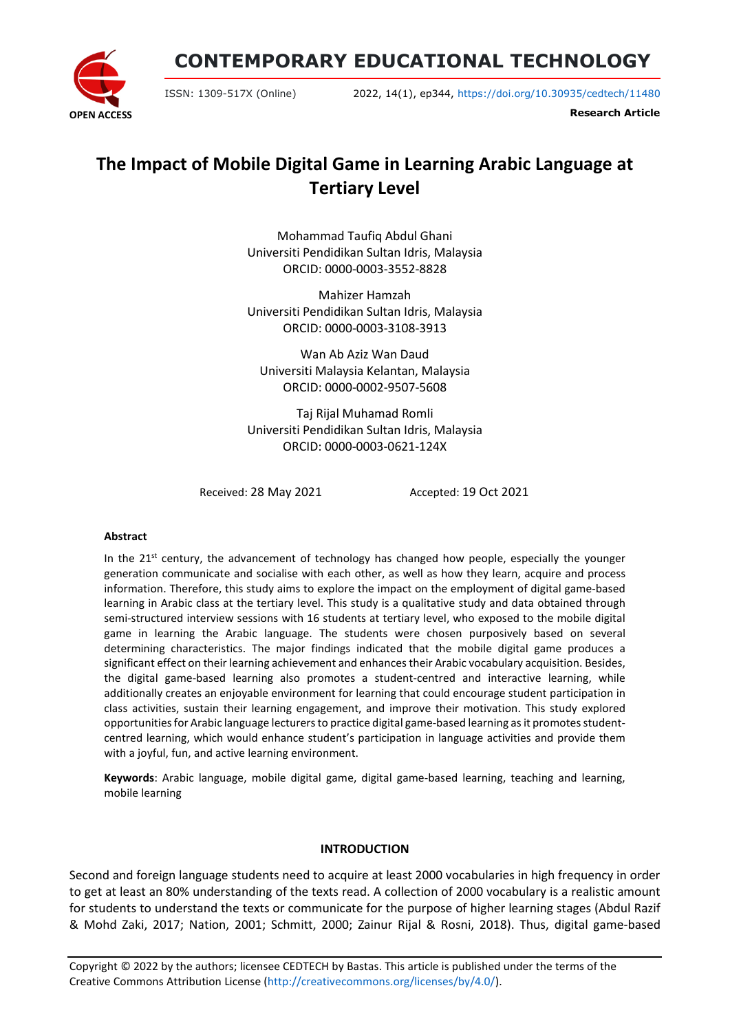**CONTEMPORARY EDUCATIONAL TECHNOLOGY**



ISSN: 1309-517X (Online) 2022, 14(1), ep344, <https://doi.org/10.30935/cedtech/11480>

**Research Article**

# **The Impact of Mobile Digital Game in Learning Arabic Language at Tertiary Level**

Mohammad Taufiq Abdul Ghani Universiti Pendidikan Sultan Idris, Malaysia ORCID: 0000-0003-3552-8828

Mahizer Hamzah Universiti Pendidikan Sultan Idris, Malaysia ORCID: 0000-0003-3108-3913

Wan Ab Aziz Wan Daud Universiti Malaysia Kelantan, Malaysia ORCID: 0000-0002-9507-5608

Taj Rijal Muhamad Romli Universiti Pendidikan Sultan Idris, Malaysia ORCID: 0000-0003-0621-124X

Received: 28 May 2021 Accepted: 19 Oct 2021

#### **Abstract**

In the  $21^{st}$  century, the advancement of technology has changed how people, especially the younger generation communicate and socialise with each other, as well as how they learn, acquire and process information. Therefore, this study aims to explore the impact on the employment of digital game-based learning in Arabic class at the tertiary level. This study is a qualitative study and data obtained through semi-structured interview sessions with 16 students at tertiary level, who exposed to the mobile digital game in learning the Arabic language. The students were chosen purposively based on several determining characteristics. The major findings indicated that the mobile digital game produces a significant effect on their learning achievement and enhances their Arabic vocabulary acquisition. Besides, the digital game-based learning also promotes a student-centred and interactive learning, while additionally creates an enjoyable environment for learning that could encourage student participation in class activities, sustain their learning engagement, and improve their motivation. This study explored opportunities for Arabic language lecturers to practice digital game-based learning as it promotes studentcentred learning, which would enhance student's participation in language activities and provide them with a joyful, fun, and active learning environment.

**Keywords**: Arabic language, mobile digital game, digital game-based learning, teaching and learning, mobile learning

#### **INTRODUCTION**

Second and foreign language students need to acquire at least 2000 vocabularies in high frequency in order to get at least an 80% understanding of the texts read. A collection of 2000 vocabulary is a realistic amount for students to understand the texts or communicate for the purpose of higher learning stages (Abdul Razif & Mohd Zaki, 2017; Nation, 2001; Schmitt, 2000; Zainur Rijal & Rosni, 2018). Thus, digital game-based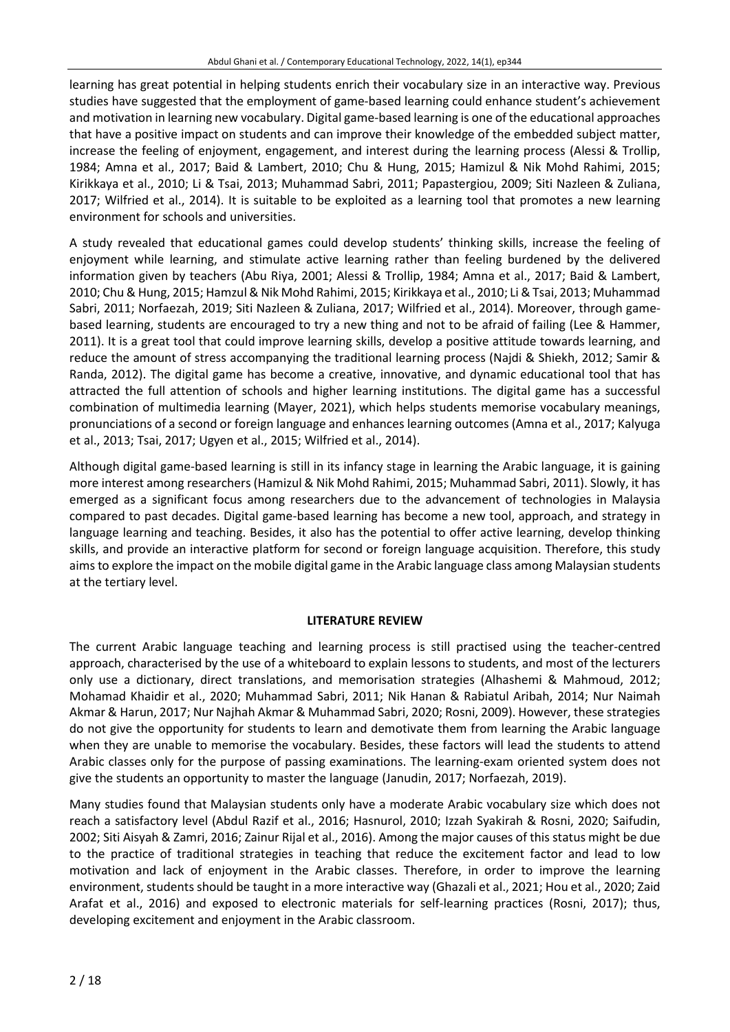learning has great potential in helping students enrich their vocabulary size in an interactive way. Previous studies have suggested that the employment of game-based learning could enhance student's achievement and motivation in learning new vocabulary. Digital game-based learning is one of the educational approaches that have a positive impact on students and can improve their knowledge of the embedded subject matter, increase the feeling of enjoyment, engagement, and interest during the learning process (Alessi & Trollip, 1984; Amna et al., 2017; Baid & Lambert, 2010; Chu & Hung, 2015; Hamizul & Nik Mohd Rahimi, 2015; Kirikkaya et al., 2010; Li & Tsai, 2013; Muhammad Sabri, 2011; Papastergiou, 2009; Siti Nazleen & Zuliana, 2017; Wilfried et al., 2014). It is suitable to be exploited as a learning tool that promotes a new learning environment for schools and universities.

A study revealed that educational games could develop students' thinking skills, increase the feeling of enjoyment while learning, and stimulate active learning rather than feeling burdened by the delivered information given by teachers (Abu Riya, 2001; Alessi & Trollip, 1984; Amna et al., 2017; Baid & Lambert, 2010; Chu & Hung, 2015; Hamzul & Nik Mohd Rahimi, 2015; Kirikkaya et al., 2010; Li &Tsai, 2013; Muhammad Sabri, 2011; Norfaezah, 2019; Siti Nazleen & Zuliana, 2017; Wilfried et al., 2014). Moreover, through gamebased learning, students are encouraged to try a new thing and not to be afraid of failing (Lee & Hammer, 2011). It is a great tool that could improve learning skills, develop a positive attitude towards learning, and reduce the amount of stress accompanying the traditional learning process (Najdi & Shiekh, 2012; Samir & Randa, 2012). The digital game has become a creative, innovative, and dynamic educational tool that has attracted the full attention of schools and higher learning institutions. The digital game has a successful combination of multimedia learning (Mayer, 2021), which helps students memorise vocabulary meanings, pronunciations of a second or foreign language and enhances learning outcomes (Amna et al., 2017; Kalyuga et al., 2013; Tsai, 2017; Ugyen et al., 2015; Wilfried et al., 2014).

Although digital game-based learning is still in its infancy stage in learning the Arabic language, it is gaining more interest among researchers (Hamizul & Nik Mohd Rahimi, 2015; Muhammad Sabri, 2011). Slowly, it has emerged as a significant focus among researchers due to the advancement of technologies in Malaysia compared to past decades. Digital game-based learning has become a new tool, approach, and strategy in language learning and teaching. Besides, it also has the potential to offer active learning, develop thinking skills, and provide an interactive platform for second or foreign language acquisition. Therefore, this study aimsto explore the impact on the mobile digital game in the Arabic language class among Malaysian students at the tertiary level.

#### **LITERATURE REVIEW**

The current Arabic language teaching and learning process is still practised using the teacher-centred approach, characterised by the use of a whiteboard to explain lessons to students, and most of the lecturers only use a dictionary, direct translations, and memorisation strategies (Alhashemi & Mahmoud, 2012; Mohamad Khaidir et al., 2020; Muhammad Sabri, 2011; Nik Hanan & Rabiatul Aribah, 2014; Nur Naimah Akmar & Harun, 2017; Nur Najhah Akmar & Muhammad Sabri, 2020; Rosni, 2009). However, these strategies do not give the opportunity for students to learn and demotivate them from learning the Arabic language when they are unable to memorise the vocabulary. Besides, these factors will lead the students to attend Arabic classes only for the purpose of passing examinations. The learning-exam oriented system does not give the students an opportunity to master the language (Janudin, 2017; Norfaezah, 2019).

Many studies found that Malaysian students only have a moderate Arabic vocabulary size which does not reach a satisfactory level (Abdul Razif et al., 2016; Hasnurol, 2010; Izzah Syakirah & Rosni, 2020; Saifudin, 2002; Siti Aisyah & Zamri, 2016; Zainur Rijal et al., 2016). Among the major causes of this status might be due to the practice of traditional strategies in teaching that reduce the excitement factor and lead to low motivation and lack of enjoyment in the Arabic classes. Therefore, in order to improve the learning environment, students should be taught in a more interactive way (Ghazali et al., 2021; Hou et al., 2020; Zaid Arafat et al., 2016) and exposed to electronic materials for self-learning practices (Rosni, 2017); thus, developing excitement and enjoyment in the Arabic classroom.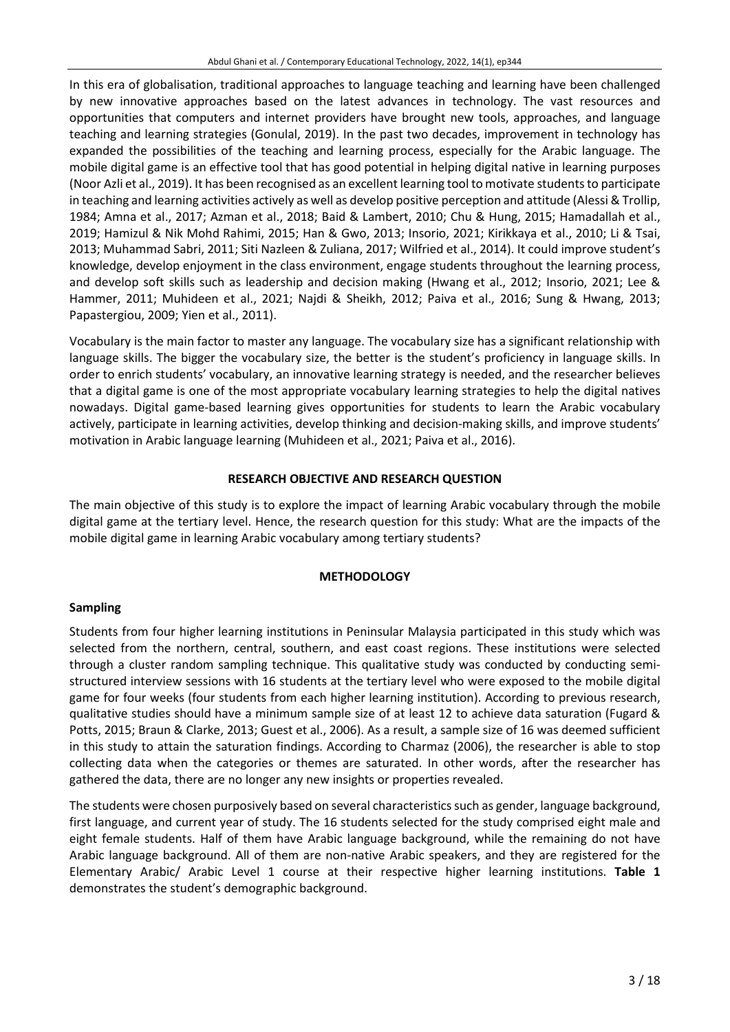In this era of globalisation, traditional approaches to language teaching and learning have been challenged by new innovative approaches based on the latest advances in technology. The vast resources and opportunities that computers and internet providers have brought new tools, approaches, and language teaching and learning strategies (Gonulal, 2019). In the past two decades, improvement in technology has expanded the possibilities of the teaching and learning process, especially for the Arabic language. The mobile digital game is an effective tool that has good potential in helping digital native in learning purposes (Noor Azli et al., 2019). It has been recognised as an excellent learning tool to motivate studentsto participate in teaching and learning activities actively as well as develop positive perception and attitude (Alessi & Trollip, 1984; Amna et al., 2017; Azman et al., 2018; Baid & Lambert, 2010; Chu & Hung, 2015; Hamadallah et al., 2019; Hamizul & Nik Mohd Rahimi, 2015; Han & Gwo, 2013; Insorio, 2021; Kirikkaya et al., 2010; Li & Tsai, 2013; Muhammad Sabri, 2011; Siti Nazleen & Zuliana, 2017; Wilfried et al., 2014). It could improve student's knowledge, develop enjoyment in the class environment, engage students throughout the learning process, and develop soft skills such as leadership and decision making (Hwang et al., 2012; Insorio, 2021; Lee & Hammer, 2011; Muhideen et al., 2021; Najdi & Sheikh, 2012; Paiva et al., 2016; Sung & Hwang, 2013; Papastergiou, 2009; Yien et al., 2011).

Vocabulary is the main factor to master any language. The vocabulary size has a significant relationship with language skills. The bigger the vocabulary size, the better is the student's proficiency in language skills. In order to enrich students' vocabulary, an innovative learning strategy is needed, and the researcher believes that a digital game is one of the most appropriate vocabulary learning strategies to help the digital natives nowadays. Digital game-based learning gives opportunities for students to learn the Arabic vocabulary actively, participate in learning activities, develop thinking and decision-making skills, and improve students' motivation in Arabic language learning (Muhideen et al., 2021; Paiva et al., 2016).

#### **RESEARCH OBJECTIVE AND RESEARCH QUESTION**

The main objective of this study is to explore the impact of learning Arabic vocabulary through the mobile digital game at the tertiary level. Hence, the research question for this study: What are the impacts of the mobile digital game in learning Arabic vocabulary among tertiary students?

#### **METHODOLOGY**

#### **Sampling**

Students from four higher learning institutions in Peninsular Malaysia participated in this study which was selected from the northern, central, southern, and east coast regions. These institutions were selected through a cluster random sampling technique. This qualitative study was conducted by conducting semistructured interview sessions with 16 students at the tertiary level who were exposed to the mobile digital game for four weeks (four students from each higher learning institution). According to previous research, qualitative studies should have a minimum sample size of at least 12 to achieve data saturation (Fugard & Potts, 2015; Braun & Clarke, 2013; Guest et al., 2006). As a result, a sample size of 16 was deemed sufficient in this study to attain the saturation findings. According to Charmaz (2006), the researcher is able to stop collecting data when the categories or themes are saturated. In other words, after the researcher has gathered the data, there are no longer any new insights or properties revealed.

The students were chosen purposively based on several characteristics such as gender, language background, first language, and current year of study. The 16 students selected for the study comprised eight male and eight female students. Half of them have Arabic language background, while the remaining do not have Arabic language background. All of them are non-native Arabic speakers, and they are registered for the Elementary Arabic/ Arabic Level 1 course at their respective higher learning institutions. **Table 1** demonstrates the student's demographic background.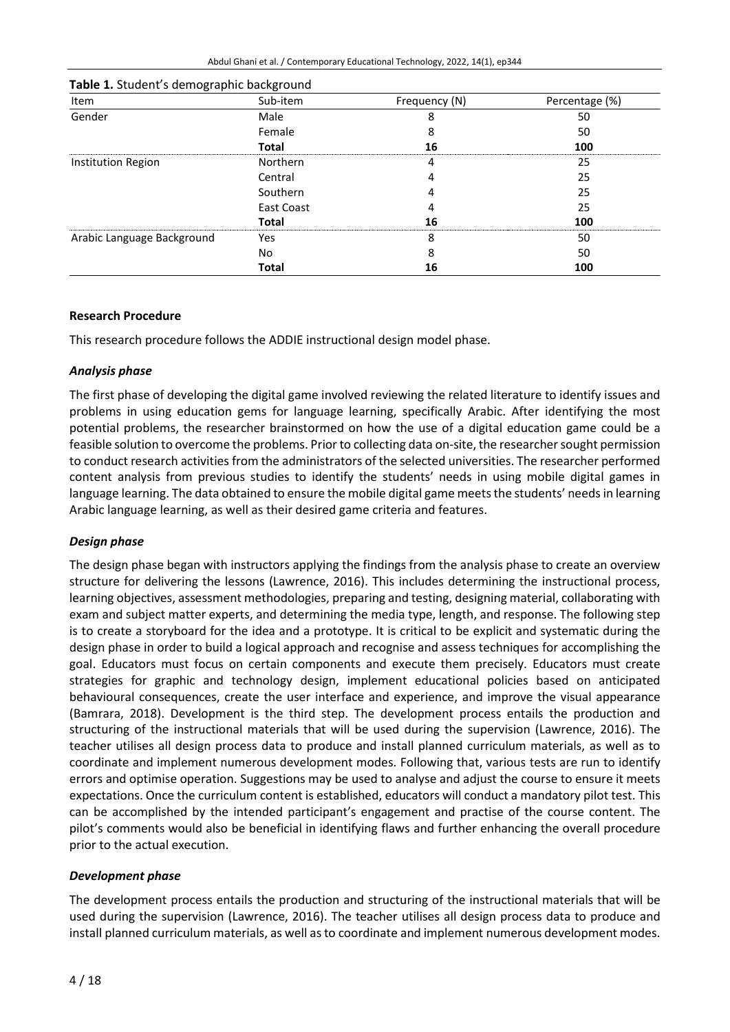| Item                       | Sub-item     | Frequency (N) | Percentage (%) |
|----------------------------|--------------|---------------|----------------|
| Gender                     | Male         | 8             | 50             |
|                            | Female       | 8             | 50             |
|                            | <b>Total</b> | 16            | 100            |
| Institution Region         | Northern     | 4             | 25             |
|                            | Central      |               | 25             |
|                            | Southern     | 4             | 25             |
|                            | East Coast   | 4             | 25             |
|                            | Total        | 16            | 100            |
| Arabic Language Background | Yes          | 8             | 50             |
|                            | No.          | 8             | 50             |
|                            | <b>Total</b> | 16            | 100            |

| Table 1. Student's demographic background |
|-------------------------------------------|
|-------------------------------------------|

#### **Research Procedure**

This research procedure follows the ADDIE instructional design model phase.

#### *Analysis phase*

The first phase of developing the digital game involved reviewing the related literature to identify issues and problems in using education gems for language learning, specifically Arabic. After identifying the most potential problems, the researcher brainstormed on how the use of a digital education game could be a feasible solution to overcome the problems. Prior to collecting data on-site, the researcher sought permission to conduct research activities from the administrators of the selected universities. The researcher performed content analysis from previous studies to identify the students' needs in using mobile digital games in language learning. The data obtained to ensure the mobile digital game meets the students' needs in learning Arabic language learning, as well as their desired game criteria and features.

#### *Design phase*

The design phase began with instructors applying the findings from the analysis phase to create an overview structure for delivering the lessons (Lawrence, 2016). This includes determining the instructional process, learning objectives, assessment methodologies, preparing and testing, designing material, collaborating with exam and subject matter experts, and determining the media type, length, and response. The following step is to create a storyboard for the idea and a prototype. It is critical to be explicit and systematic during the design phase in order to build a logical approach and recognise and assess techniques for accomplishing the goal. Educators must focus on certain components and execute them precisely. Educators must create strategies for graphic and technology design, implement educational policies based on anticipated behavioural consequences, create the user interface and experience, and improve the visual appearance (Bamrara, 2018). Development is the third step. The development process entails the production and structuring of the instructional materials that will be used during the supervision (Lawrence, 2016). The teacher utilises all design process data to produce and install planned curriculum materials, as well as to coordinate and implement numerous development modes. Following that, various tests are run to identify errors and optimise operation. Suggestions may be used to analyse and adjust the course to ensure it meets expectations. Once the curriculum content is established, educators will conduct a mandatory pilot test. This can be accomplished by the intended participant's engagement and practise of the course content. The pilot's comments would also be beneficial in identifying flaws and further enhancing the overall procedure prior to the actual execution.

## *Development phase*

The development process entails the production and structuring of the instructional materials that will be used during the supervision (Lawrence, 2016). The teacher utilises all design process data to produce and install planned curriculum materials, as well asto coordinate and implement numerous development modes.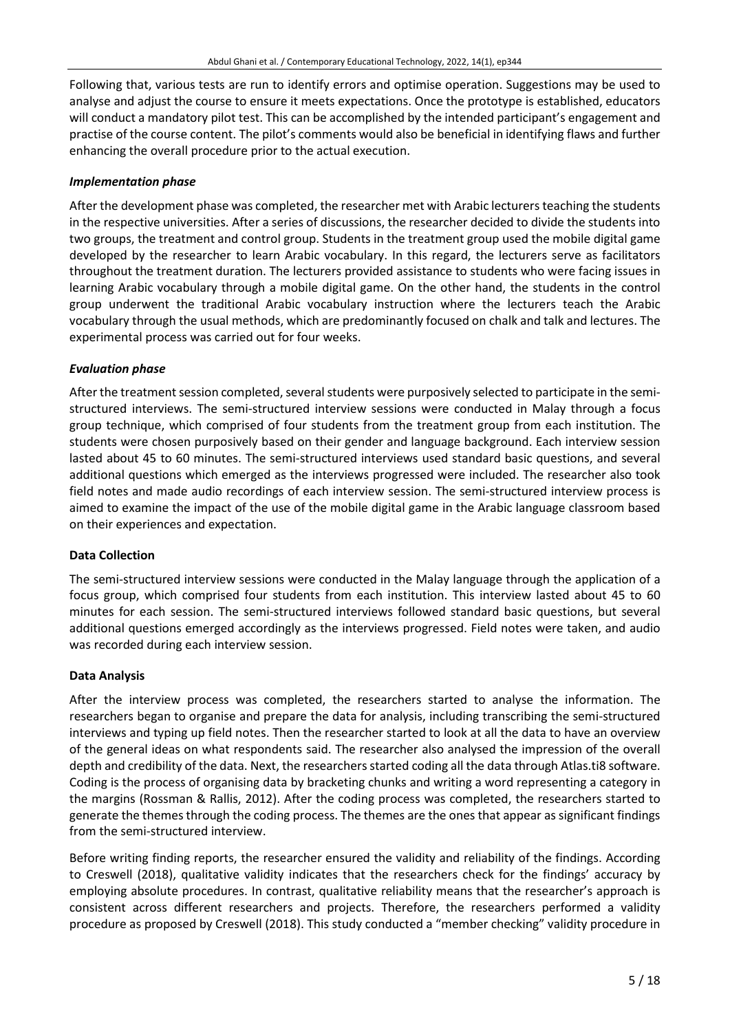Following that, various tests are run to identify errors and optimise operation. Suggestions may be used to analyse and adjust the course to ensure it meets expectations. Once the prototype is established, educators will conduct a mandatory pilot test. This can be accomplished by the intended participant's engagement and practise of the course content. The pilot's comments would also be beneficial in identifying flaws and further enhancing the overall procedure prior to the actual execution.

## *Implementation phase*

After the development phase was completed, the researcher met with Arabic lecturers teaching the students in the respective universities. After a series of discussions, the researcher decided to divide the students into two groups, the treatment and control group. Students in the treatment group used the mobile digital game developed by the researcher to learn Arabic vocabulary. In this regard, the lecturers serve as facilitators throughout the treatment duration. The lecturers provided assistance to students who were facing issues in learning Arabic vocabulary through a mobile digital game. On the other hand, the students in the control group underwent the traditional Arabic vocabulary instruction where the lecturers teach the Arabic vocabulary through the usual methods, which are predominantly focused on chalk and talk and lectures. The experimental process was carried out for four weeks.

## *Evaluation phase*

After the treatment session completed, several students were purposively selected to participate in the semistructured interviews. The semi-structured interview sessions were conducted in Malay through a focus group technique, which comprised of four students from the treatment group from each institution. The students were chosen purposively based on their gender and language background. Each interview session lasted about 45 to 60 minutes. The semi-structured interviews used standard basic questions, and several additional questions which emerged as the interviews progressed were included. The researcher also took field notes and made audio recordings of each interview session. The semi-structured interview process is aimed to examine the impact of the use of the mobile digital game in the Arabic language classroom based on their experiences and expectation.

#### **Data Collection**

The semi-structured interview sessions were conducted in the Malay language through the application of a focus group, which comprised four students from each institution. This interview lasted about 45 to 60 minutes for each session. The semi-structured interviews followed standard basic questions, but several additional questions emerged accordingly as the interviews progressed. Field notes were taken, and audio was recorded during each interview session.

#### **Data Analysis**

After the interview process was completed, the researchers started to analyse the information. The researchers began to organise and prepare the data for analysis, including transcribing the semi-structured interviews and typing up field notes. Then the researcher started to look at all the data to have an overview of the general ideas on what respondents said. The researcher also analysed the impression of the overall depth and credibility of the data. Next, the researchers started coding all the data through Atlas.ti8 software. Coding is the process of organising data by bracketing chunks and writing a word representing a category in the margins (Rossman & Rallis, 2012). After the coding process was completed, the researchers started to generate the themes through the coding process. The themes are the ones that appear as significant findings from the semi-structured interview.

Before writing finding reports, the researcher ensured the validity and reliability of the findings. According to Creswell (2018), qualitative validity indicates that the researchers check for the findings' accuracy by employing absolute procedures. In contrast, qualitative reliability means that the researcher's approach is consistent across different researchers and projects. Therefore, the researchers performed a validity procedure as proposed by Creswell (2018). This study conducted a "member checking" validity procedure in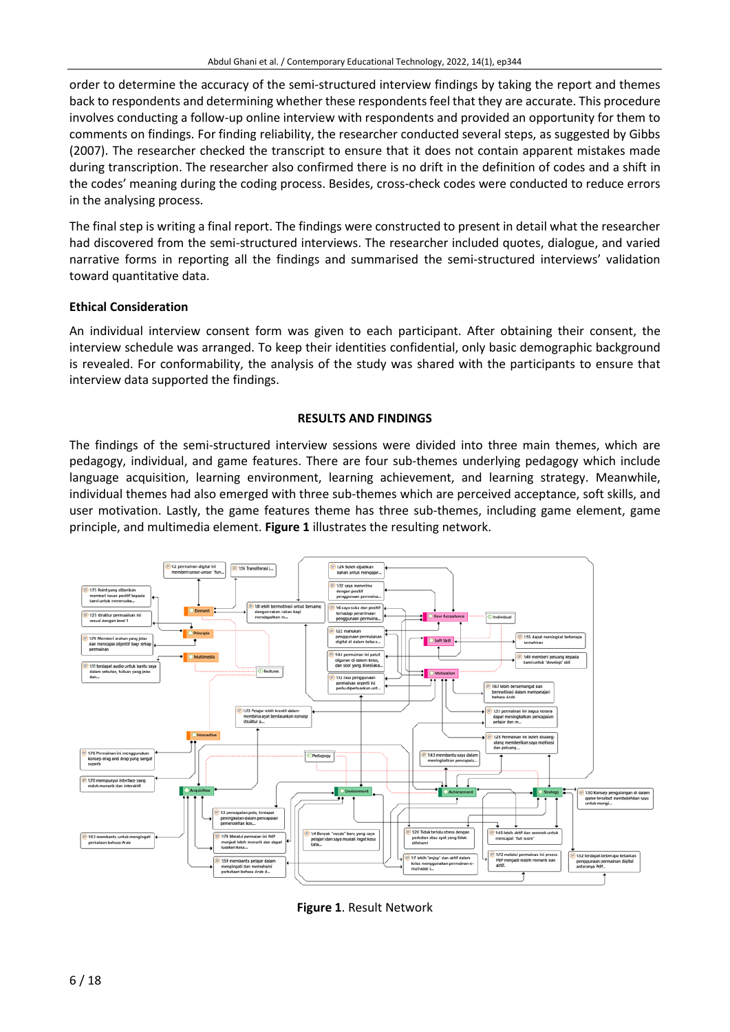order to determine the accuracy of the semi-structured interview findings by taking the report and themes back to respondents and determining whether these respondentsfeel that they are accurate. This procedure involves conducting a follow-up online interview with respondents and provided an opportunity for them to comments on findings. For finding reliability, the researcher conducted several steps, as suggested by Gibbs (2007). The researcher checked the transcript to ensure that it does not contain apparent mistakes made during transcription. The researcher also confirmed there is no drift in the definition of codes and a shift in the codes' meaning during the coding process. Besides, cross-check codes were conducted to reduce errors in the analysing process.

The final step is writing a final report. The findings were constructed to present in detail what the researcher had discovered from the semi-structured interviews. The researcher included quotes, dialogue, and varied narrative forms in reporting all the findings and summarised the semi-structured interviews' validation toward quantitative data.

#### **Ethical Consideration**

An individual interview consent form was given to each participant. After obtaining their consent, the interview schedule was arranged. To keep their identities confidential, only basic demographic background is revealed. For conformability, the analysis of the study was shared with the participants to ensure that interview data supported the findings.

#### **RESULTS AND FINDINGS**

The findings of the semi-structured interview sessions were divided into three main themes, which are pedagogy, individual, and game features. There are four sub-themes underlying pedagogy which include language acquisition, learning environment, learning achievement, and learning strategy. Meanwhile, individual themes had also emerged with three sub-themes which are perceived acceptance, soft skills, and user motivation. Lastly, the game features theme has three sub-themes, including game element, game principle, and multimedia element. **Figure 1** illustrates the resulting network.



**Figure 1**. Result Network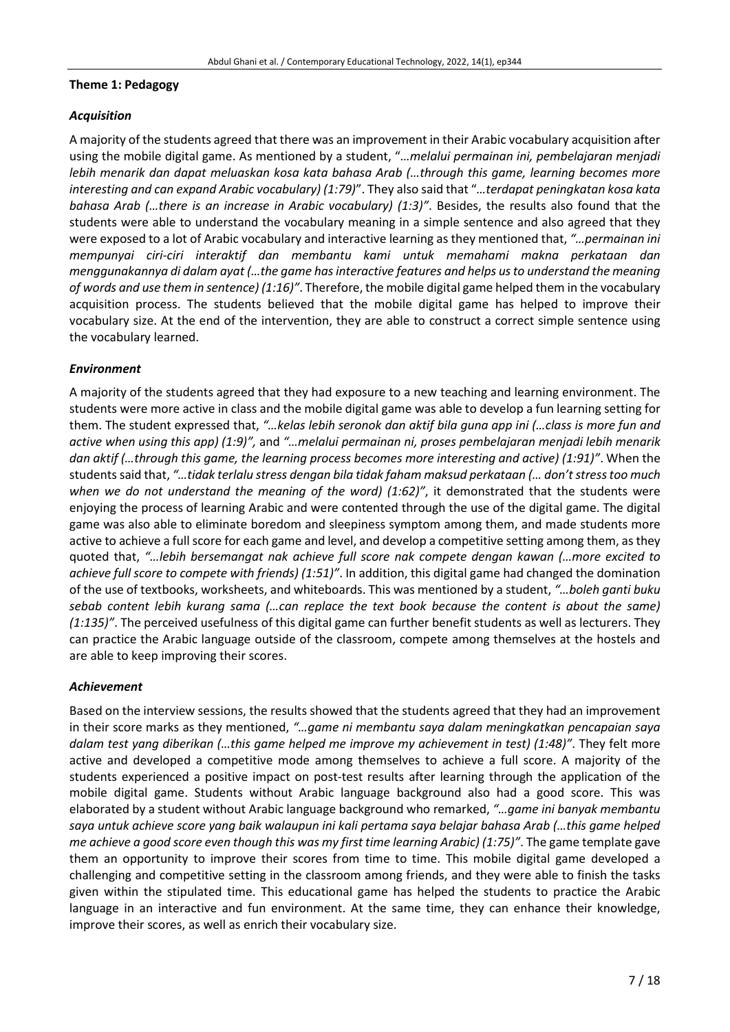#### **Theme 1: Pedagogy**

## *Acquisition*

A majority of the students agreed that there was an improvement in their Arabic vocabulary acquisition after using the mobile digital game. As mentioned by a student, "*…melalui permainan ini, pembelajaran menjadi lebih menarik dan dapat meluaskan kosa kata bahasa Arab (…through this game, learning becomes more interesting and can expand Arabic vocabulary) (1:79)*". They also said that "*…terdapat peningkatan kosa kata bahasa Arab (…there is an increase in Arabic vocabulary) (1:3)"*. Besides, the results also found that the students were able to understand the vocabulary meaning in a simple sentence and also agreed that they were exposed to a lot of Arabic vocabulary and interactive learning as they mentioned that, *"…permainan ini mempunyai ciri-ciri interaktif dan membantu kami untuk memahami makna perkataan dan menggunakannya di dalam ayat (…the game hasinteractive features and helps usto understand the meaning of words and use them in sentence) (1:16)"*. Therefore, the mobile digital game helped them in the vocabulary acquisition process. The students believed that the mobile digital game has helped to improve their vocabulary size. At the end of the intervention, they are able to construct a correct simple sentence using the vocabulary learned.

## *Environment*

A majority of the students agreed that they had exposure to a new teaching and learning environment. The students were more active in class and the mobile digital game was able to develop a fun learning setting for them. The student expressed that, *"…kelas lebih seronok dan aktif bila guna app ini (…class is more fun and active when using this app) (1:9)",* and *"…melalui permainan ni, proses pembelajaran menjadi lebih menarik dan aktif (…through this game, the learning process becomes more interesting and active) (1:91)"*. When the studentssaid that, *"…tidak terlalu stress dengan bila tidak faham maksud perkataan (… don'tstresstoo much when we do not understand the meaning of the word) (1:62)"*, it demonstrated that the students were enjoying the process of learning Arabic and were contented through the use of the digital game. The digital game was also able to eliminate boredom and sleepiness symptom among them, and made students more active to achieve a full score for each game and level, and develop a competitive setting among them, as they quoted that, *"…lebih bersemangat nak achieve full score nak compete dengan kawan (…more excited to achieve full score to compete with friends) (1:51)"*. In addition, this digital game had changed the domination of the use of textbooks, worksheets, and whiteboards. This was mentioned by a student, *"…boleh ganti buku sebab content lebih kurang sama (…can replace the text book because the content is about the same) (1:135)"*. The perceived usefulness of this digital game can further benefit students as well as lecturers. They can practice the Arabic language outside of the classroom, compete among themselves at the hostels and are able to keep improving their scores.

#### *Achievement*

Based on the interview sessions, the results showed that the students agreed that they had an improvement in their score marks as they mentioned, *"…game ni membantu saya dalam meningkatkan pencapaian saya dalam test yang diberikan (…this game helped me improve my achievement in test) (1:48)"*. They felt more active and developed a competitive mode among themselves to achieve a full score. A majority of the students experienced a positive impact on post-test results after learning through the application of the mobile digital game. Students without Arabic language background also had a good score. This was elaborated by a student without Arabic language background who remarked, *"…game ini banyak membantu saya untuk achieve score yang baik walaupun ini kali pertama saya belajar bahasa Arab (…this game helped me achieve a good score even though this was my first time learning Arabic) (1:75)"*. The game template gave them an opportunity to improve their scores from time to time. This mobile digital game developed a challenging and competitive setting in the classroom among friends, and they were able to finish the tasks given within the stipulated time. This educational game has helped the students to practice the Arabic language in an interactive and fun environment. At the same time, they can enhance their knowledge, improve their scores, as well as enrich their vocabulary size.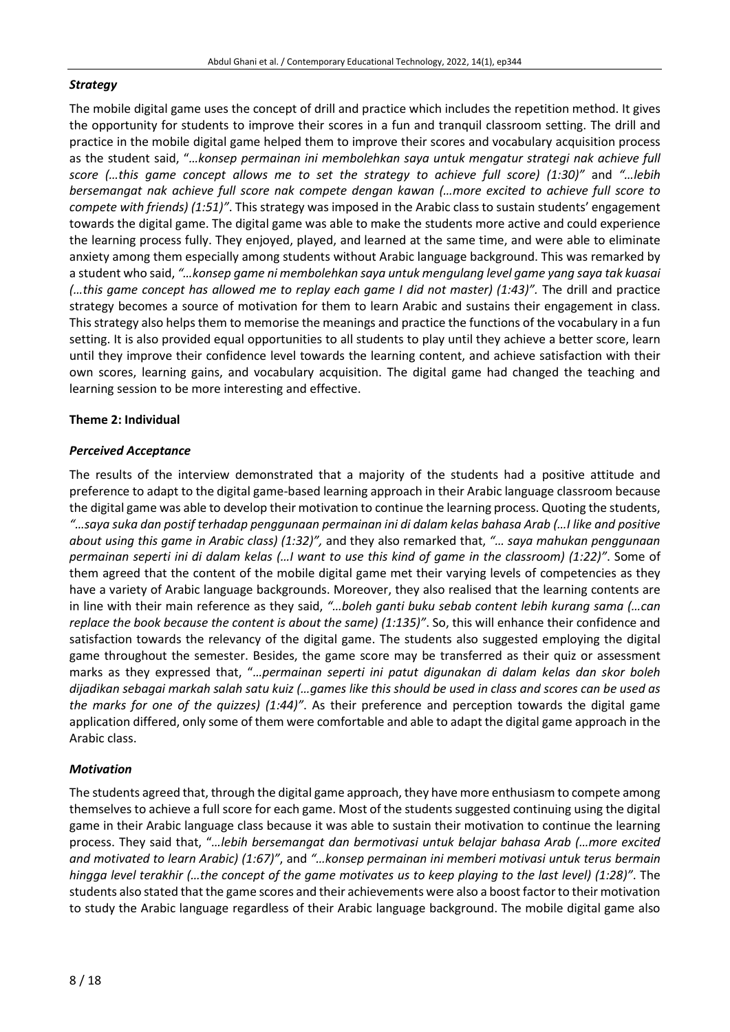## *Strategy*

The mobile digital game uses the concept of drill and practice which includes the repetition method. It gives the opportunity for students to improve their scores in a fun and tranquil classroom setting. The drill and practice in the mobile digital game helped them to improve their scores and vocabulary acquisition process as the student said, "*…konsep permainan ini membolehkan saya untuk mengatur strategi nak achieve full score (…this game concept allows me to set the strategy to achieve full score) (1:30)"* and *"…lebih bersemangat nak achieve full score nak compete dengan kawan (…more excited to achieve full score to compete with friends) (1:51)"*. This strategy was imposed in the Arabic classto sustain students' engagement towards the digital game. The digital game was able to make the students more active and could experience the learning process fully. They enjoyed, played, and learned at the same time, and were able to eliminate anxiety among them especially among students without Arabic language background. This was remarked by a student who said, *"…konsep game ni membolehkan saya untuk mengulang level game yang saya tak kuasai (…this game concept has allowed me to replay each game I did not master) (1:43)".* The drill and practice strategy becomes a source of motivation for them to learn Arabic and sustains their engagement in class. Thisstrategy also helps them to memorise the meanings and practice the functions of the vocabulary in a fun setting. It is also provided equal opportunities to all students to play until they achieve a better score, learn until they improve their confidence level towards the learning content, and achieve satisfaction with their own scores, learning gains, and vocabulary acquisition. The digital game had changed the teaching and learning session to be more interesting and effective.

## **Theme 2: Individual**

## *Perceived Acceptance*

The results of the interview demonstrated that a majority of the students had a positive attitude and preference to adapt to the digital game-based learning approach in their Arabic language classroom because the digital game was able to develop their motivation to continue the learning process. Quoting the students, *"…saya suka dan postif terhadap penggunaan permainan ini di dalam kelas bahasa Arab (…I like and positive about using this game in Arabic class) (1:32)",* and they also remarked that, *"… saya mahukan penggunaan* permainan seperti ini di dalam kelas (... I want to use this kind of game in the classroom) (1:22)". Some of them agreed that the content of the mobile digital game met their varying levels of competencies as they have a variety of Arabic language backgrounds. Moreover, they also realised that the learning contents are in line with their main reference as they said, *"…boleh ganti buku sebab content lebih kurang sama (…can replace the book because the content is about the same) (1:135)"*. So, this will enhance their confidence and satisfaction towards the relevancy of the digital game. The students also suggested employing the digital game throughout the semester. Besides, the game score may be transferred as their quiz or assessment marks as they expressed that, "*…permainan seperti ini patut digunakan di dalam kelas dan skor boleh* dijadikan sebagai markah salah satu kuiz (...games like this should be used in class and scores can be used as *the marks for one of the quizzes) (1:44)"*. As their preference and perception towards the digital game application differed, only some of them were comfortable and able to adapt the digital game approach in the Arabic class.

## *Motivation*

The students agreed that, through the digital game approach, they have more enthusiasm to compete among themselves to achieve a full score for each game. Most of the students suggested continuing using the digital game in their Arabic language class because it was able to sustain their motivation to continue the learning process. They said that, "*…lebih bersemangat dan bermotivasi untuk belajar bahasa Arab (…more excited and motivated to learn Arabic) (1:67)"*, and *"…konsep permainan ini memberi motivasi untuk terus bermain* hingga level terakhir (...the concept of the game motivates us to keep playing to the last level) (1:28)". The students also stated that the game scores and their achievements were also a boost factorto their motivation to study the Arabic language regardless of their Arabic language background. The mobile digital game also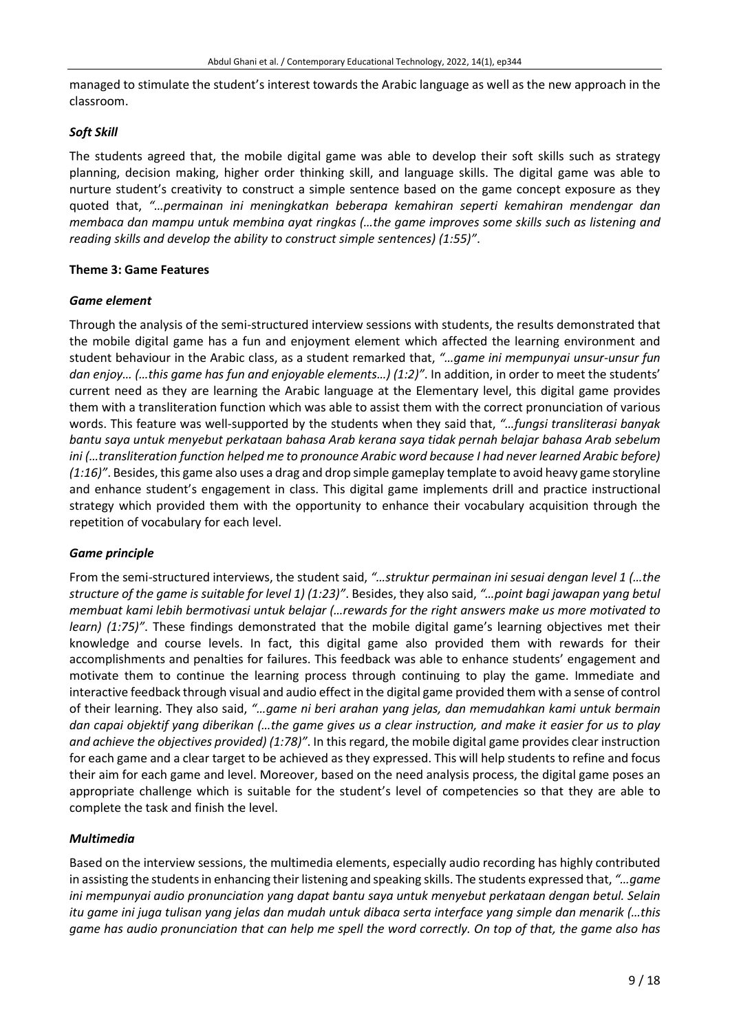managed to stimulate the student's interest towards the Arabic language as well as the new approach in the classroom.

#### *Soft Skill*

The students agreed that, the mobile digital game was able to develop their soft skills such as strategy planning, decision making, higher order thinking skill, and language skills. The digital game was able to nurture student's creativity to construct a simple sentence based on the game concept exposure as they quoted that, *"…permainan ini meningkatkan beberapa kemahiran seperti kemahiran mendengar dan membaca dan mampu untuk membina ayat ringkas (…the game improves some skills such as listening and reading skills and develop the ability to construct simple sentences) (1:55)"*.

#### **Theme 3: Game Features**

#### *Game element*

Through the analysis of the semi-structured interview sessions with students, the results demonstrated that the mobile digital game has a fun and enjoyment element which affected the learning environment and student behaviour in the Arabic class, as a student remarked that, *"…game ini mempunyai unsur-unsur fun dan enjoy… (…this game has fun and enjoyable elements…) (1:2)"*. In addition, in order to meet the students' current need as they are learning the Arabic language at the Elementary level, this digital game provides them with a transliteration function which was able to assist them with the correct pronunciation of various words. This feature was well-supported by the students when they said that, *"…fungsi transliterasi banyak bantu saya untuk menyebut perkataan bahasa Arab kerana saya tidak pernah belajar bahasa Arab sebelum ini (…transliteration function helped me to pronounce Arabic word because I had never learned Arabic before) (1:16)"*. Besides,this game also uses a drag and drop simple gameplay template to avoid heavy game storyline and enhance student's engagement in class. This digital game implements drill and practice instructional strategy which provided them with the opportunity to enhance their vocabulary acquisition through the repetition of vocabulary for each level.

#### *Game principle*

From the semi-structured interviews, the student said, *"…struktur permainan ini sesuai dengan level 1 (…the structure of the game is suitable for level 1) (1:23)"*. Besides, they also said, *"…point bagi jawapan yang betul membuat kami lebih bermotivasi untuk belajar (…rewards for the right answers make us more motivated to learn) (1:75)"*. These findings demonstrated that the mobile digital game's learning objectives met their knowledge and course levels. In fact, this digital game also provided them with rewards for their accomplishments and penalties for failures. This feedback was able to enhance students' engagement and motivate them to continue the learning process through continuing to play the game. Immediate and interactive feedback through visual and audio effect in the digital game provided them with a sense of control of their learning. They also said, *"…game ni beri arahan yang jelas, dan memudahkan kami untuk bermain* dan capai objektif yang diberikan (...the game gives us a clear instruction, and make it easier for us to play *and achieve the objectives provided) (1:78)"*. In this regard, the mobile digital game provides clear instruction for each game and a clear target to be achieved as they expressed. This will help students to refine and focus their aim for each game and level. Moreover, based on the need analysis process, the digital game poses an appropriate challenge which is suitable for the student's level of competencies so that they are able to complete the task and finish the level.

#### *Multimedia*

Based on the interview sessions, the multimedia elements, especially audio recording has highly contributed in assisting the studentsin enhancing theirlistening and speaking skills. The students expressed that, *"…game ini mempunyai audio pronunciation yang dapat bantu saya untuk menyebut perkataan dengan betul. Selain* itu game ini juga tulisan yang jelas dan mudah untuk dibaca serta interface yang simple dan menarik (...this game has audio pronunciation that can help me spell the word correctly. On top of that, the game also has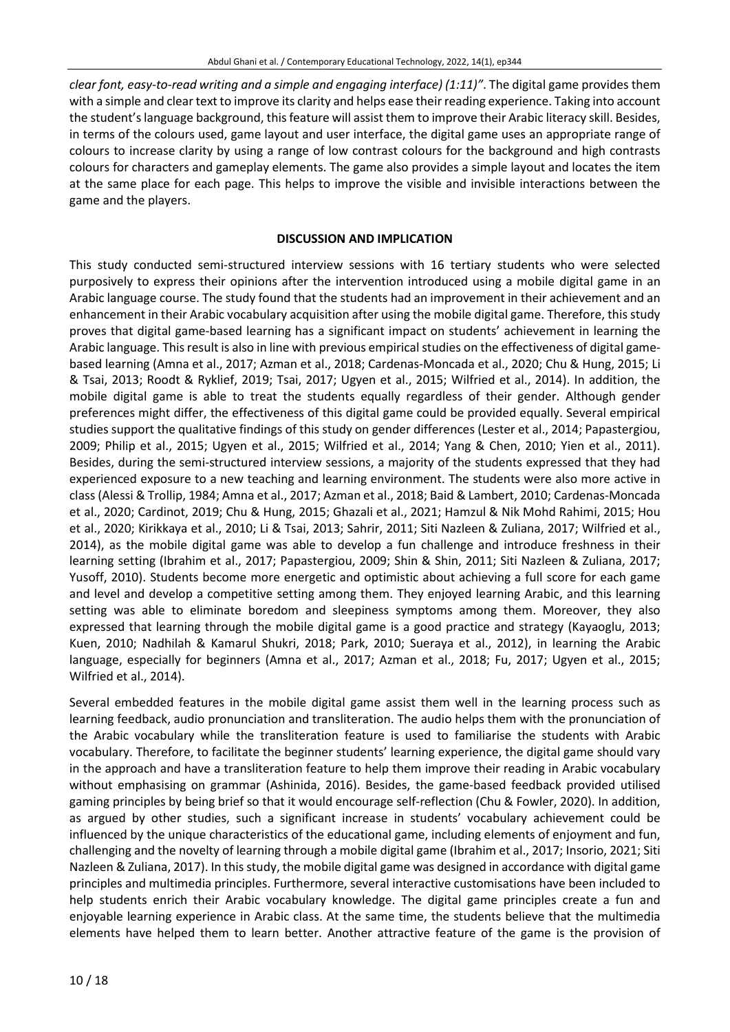*clear font, easy-to-read writing and a simple and engaging interface) (1:11)"*. The digital game provides them with a simple and clear text to improve its clarity and helps ease their reading experience. Taking into account the student'slanguage background, thisfeature will assist them to improve their Arabic literacy skill. Besides, in terms of the colours used, game layout and user interface, the digital game uses an appropriate range of colours to increase clarity by using a range of low contrast colours for the background and high contrasts colours for characters and gameplay elements. The game also provides a simple layout and locates the item at the same place for each page. This helps to improve the visible and invisible interactions between the game and the players.

## **DISCUSSION AND IMPLICATION**

This study conducted semi-structured interview sessions with 16 tertiary students who were selected purposively to express their opinions after the intervention introduced using a mobile digital game in an Arabic language course. The study found that the students had an improvement in their achievement and an enhancement in their Arabic vocabulary acquisition after using the mobile digital game. Therefore, this study proves that digital game-based learning has a significant impact on students' achievement in learning the Arabic language. This result is also in line with previous empirical studies on the effectiveness of digital gamebased learning (Amna et al., 2017; Azman et al., 2018; Cardenas-Moncada et al., 2020; Chu & Hung, 2015; Li & Tsai, 2013; Roodt & Ryklief, 2019; Tsai, 2017; Ugyen et al., 2015; Wilfried et al., 2014). In addition, the mobile digital game is able to treat the students equally regardless of their gender. Although gender preferences might differ, the effectiveness of this digital game could be provided equally. Several empirical studies support the qualitative findings of this study on gender differences (Lester et al., 2014; Papastergiou, 2009; Philip et al., 2015; Ugyen et al., 2015; Wilfried et al., 2014; Yang & Chen, 2010; Yien et al., 2011). Besides, during the semi-structured interview sessions, a majority of the students expressed that they had experienced exposure to a new teaching and learning environment. The students were also more active in class (Alessi & Trollip, 1984; Amna et al., 2017; Azman et al., 2018; Baid & Lambert, 2010; Cardenas-Moncada et al., 2020; Cardinot, 2019; Chu & Hung, 2015; Ghazali et al., 2021; Hamzul & Nik Mohd Rahimi, 2015; Hou et al., 2020; Kirikkaya et al., 2010; Li & Tsai, 2013; Sahrir, 2011; Siti Nazleen & Zuliana, 2017; Wilfried et al., 2014), as the mobile digital game was able to develop a fun challenge and introduce freshness in their learning setting (Ibrahim et al., 2017; Papastergiou, 2009; Shin & Shin, 2011; Siti Nazleen & Zuliana, 2017; Yusoff, 2010). Students become more energetic and optimistic about achieving a full score for each game and level and develop a competitive setting among them. They enjoyed learning Arabic, and this learning setting was able to eliminate boredom and sleepiness symptoms among them. Moreover, they also expressed that learning through the mobile digital game is a good practice and strategy (Kayaoglu, 2013; Kuen, 2010; Nadhilah & Kamarul Shukri, 2018; Park, 2010; Sueraya et al., 2012), in learning the Arabic language, especially for beginners (Amna et al., 2017; Azman et al., 2018; Fu, 2017; Ugyen et al., 2015; Wilfried et al., 2014).

Several embedded features in the mobile digital game assist them well in the learning process such as learning feedback, audio pronunciation and transliteration. The audio helps them with the pronunciation of the Arabic vocabulary while the transliteration feature is used to familiarise the students with Arabic vocabulary. Therefore, to facilitate the beginner students' learning experience, the digital game should vary in the approach and have a transliteration feature to help them improve their reading in Arabic vocabulary without emphasising on grammar (Ashinida, 2016). Besides, the game-based feedback provided utilised gaming principles by being brief so that it would encourage self-reflection (Chu & Fowler, 2020). In addition, as argued by other studies, such a significant increase in students' vocabulary achievement could be influenced by the unique characteristics of the educational game, including elements of enjoyment and fun, challenging and the novelty of learning through a mobile digital game (Ibrahim et al., 2017; Insorio, 2021; Siti Nazleen & Zuliana, 2017). In this study, the mobile digital game was designed in accordance with digital game principles and multimedia principles. Furthermore, several interactive customisations have been included to help students enrich their Arabic vocabulary knowledge. The digital game principles create a fun and enjoyable learning experience in Arabic class. At the same time, the students believe that the multimedia elements have helped them to learn better. Another attractive feature of the game is the provision of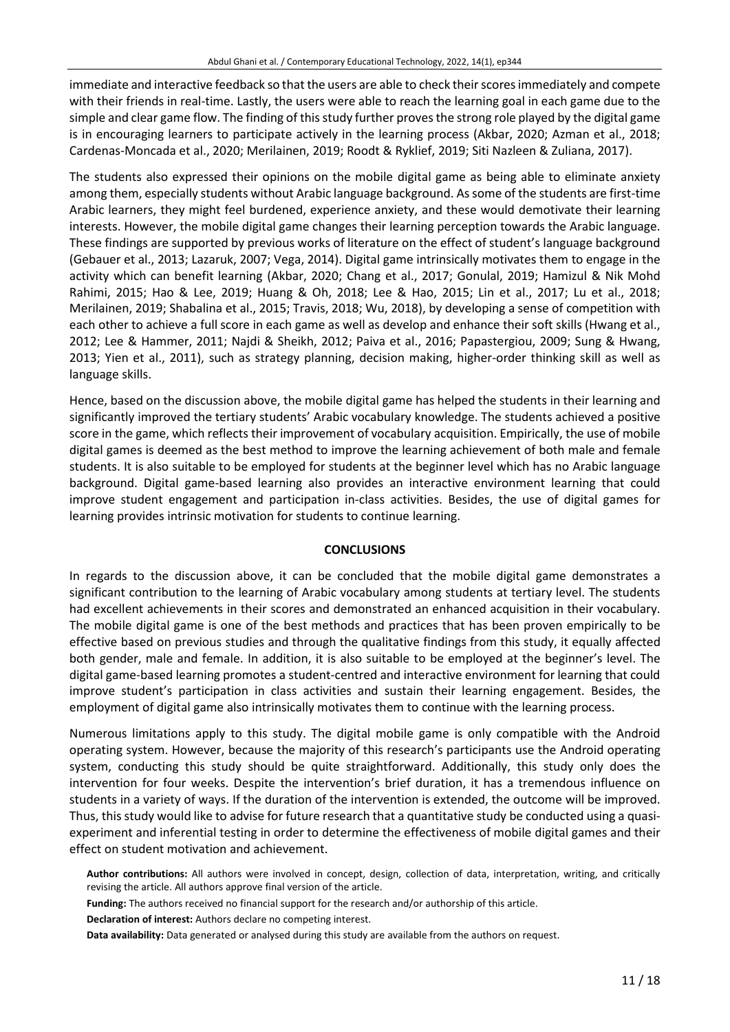immediate and interactive feedback so that the users are able to check their scores immediately and compete with their friends in real-time. Lastly, the users were able to reach the learning goal in each game due to the simple and clear game flow. The finding of this study further proves the strong role played by the digital game is in encouraging learners to participate actively in the learning process (Akbar, 2020; Azman et al., 2018; Cardenas-Moncada et al., 2020; Merilainen, 2019; Roodt & Ryklief, 2019; Siti Nazleen & Zuliana, 2017).

The students also expressed their opinions on the mobile digital game as being able to eliminate anxiety among them, especially students without Arabic language background. Assome of the students are first-time Arabic learners, they might feel burdened, experience anxiety, and these would demotivate their learning interests. However, the mobile digital game changes their learning perception towards the Arabic language. These findings are supported by previous works of literature on the effect of student's language background (Gebauer et al., 2013; Lazaruk, 2007; Vega, 2014). Digital game intrinsically motivates them to engage in the activity which can benefit learning (Akbar, 2020; Chang et al., 2017; Gonulal, 2019; Hamizul & Nik Mohd Rahimi, 2015; Hao & Lee, 2019; Huang & Oh, 2018; Lee & Hao, 2015; Lin et al., 2017; Lu et al., 2018; Merilainen, 2019; Shabalina et al., 2015; Travis, 2018; Wu, 2018), by developing a sense of competition with each other to achieve a full score in each game as well as develop and enhance their soft skills (Hwang et al., 2012; Lee & Hammer, 2011; Najdi & Sheikh, 2012; Paiva et al., 2016; Papastergiou, 2009; Sung & Hwang, 2013; Yien et al., 2011), such as strategy planning, decision making, higher-order thinking skill as well as language skills.

Hence, based on the discussion above, the mobile digital game has helped the students in their learning and significantly improved the tertiary students' Arabic vocabulary knowledge. The students achieved a positive score in the game, which reflects their improvement of vocabulary acquisition. Empirically, the use of mobile digital games is deemed as the best method to improve the learning achievement of both male and female students. It is also suitable to be employed for students at the beginner level which has no Arabic language background. Digital game-based learning also provides an interactive environment learning that could improve student engagement and participation in-class activities. Besides, the use of digital games for learning provides intrinsic motivation for students to continue learning.

#### **CONCLUSIONS**

In regards to the discussion above, it can be concluded that the mobile digital game demonstrates a significant contribution to the learning of Arabic vocabulary among students at tertiary level. The students had excellent achievements in their scores and demonstrated an enhanced acquisition in their vocabulary. The mobile digital game is one of the best methods and practices that has been proven empirically to be effective based on previous studies and through the qualitative findings from this study, it equally affected both gender, male and female. In addition, it is also suitable to be employed at the beginner's level. The digital game-based learning promotes a student-centred and interactive environment for learning that could improve student's participation in class activities and sustain their learning engagement. Besides, the employment of digital game also intrinsically motivates them to continue with the learning process.

Numerous limitations apply to this study. The digital mobile game is only compatible with the Android operating system. However, because the majority of this research's participants use the Android operating system, conducting this study should be quite straightforward. Additionally, this study only does the intervention for four weeks. Despite the intervention's brief duration, it has a tremendous influence on students in a variety of ways. If the duration of the intervention is extended, the outcome will be improved. Thus, this study would like to advise for future research that a quantitative study be conducted using a quasiexperiment and inferential testing in order to determine the effectiveness of mobile digital games and their effect on student motivation and achievement.

**Author contributions:** All authors were involved in concept, design, collection of data, interpretation, writing, and critically revising the article. All authors approve final version of the article.

**Funding:** The authors received no financial support for the research and/or authorship of this article.

**Declaration of interest:** Authors declare no competing interest.

**Data availability:** Data generated or analysed during this study are available from the authors on request.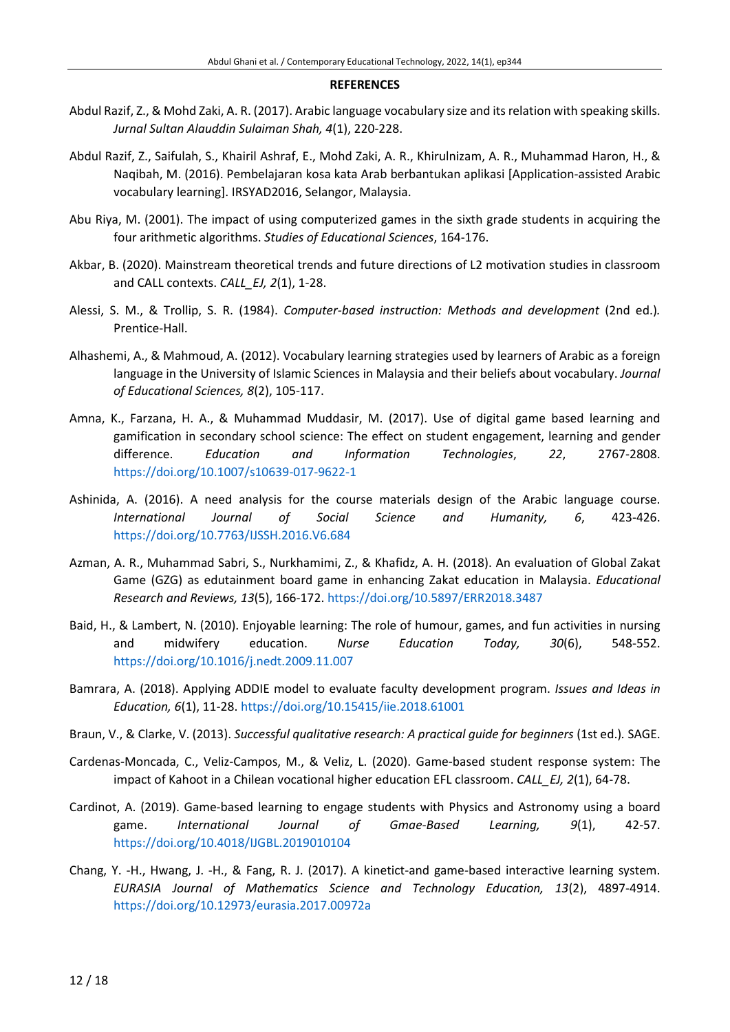#### **REFERENCES**

- Abdul Razif, Z., & Mohd Zaki, A. R. (2017). Arabic language vocabulary size and itsrelation with speaking skills. *Jurnal Sultan Alauddin Sulaiman Shah, 4*(1), 220-228.
- Abdul Razif, Z., Saifulah, S., Khairil Ashraf, E., Mohd Zaki, A. R., Khirulnizam, A. R., Muhammad Haron, H., & Naqibah, M. (2016). Pembelajaran kosa kata Arab berbantukan aplikasi [Application-assisted Arabic vocabulary learning]. IRSYAD2016, Selangor, Malaysia.
- Abu Riya, M. (2001). The impact of using computerized games in the sixth grade students in acquiring the four arithmetic algorithms. *Studies of Educational Sciences*, 164-176.
- Akbar, B. (2020). Mainstream theoretical trends and future directions of L2 motivation studies in classroom and CALL contexts. *CALL\_EJ, 2*(1), 1-28.
- Alessi, S. M., & Trollip, S. R. (1984). *Computer-based instruction: Methods and development* (2nd ed.)*.* Prentice-Hall.
- Alhashemi, A., & Mahmoud, A. (2012). Vocabulary learning strategies used by learners of Arabic as a foreign language in the University of Islamic Sciences in Malaysia and their beliefs about vocabulary. *Journal of Educational Sciences, 8*(2), 105-117.
- Amna, K., Farzana, H. A., & Muhammad Muddasir, M. (2017). Use of digital game based learning and gamification in secondary school science: The effect on student engagement, learning and gender difference. *Education and Information Technologies*, *22*, 2767-2808. <https://doi.org/10.1007/s10639-017-9622-1>
- Ashinida, A. (2016). A need analysis for the course materials design of the Arabic language course. *International Journal of Social Science and Humanity, 6*, 423-426. <https://doi.org/10.7763/IJSSH.2016.V6.684>
- Azman, A. R., Muhammad Sabri, S., Nurkhamimi, Z., & Khafidz, A. H. (2018). An evaluation of Global Zakat Game (GZG) as edutainment board game in enhancing Zakat education in Malaysia. *Educational Research and Reviews, 13*(5), 166-172. <https://doi.org/10.5897/ERR2018.3487>
- Baid, H., & Lambert, N. (2010). Enjoyable learning: The role of humour, games, and fun activities in nursing and midwifery education. *Nurse Education Today, 30*(6), 548-552. <https://doi.org/10.1016/j.nedt.2009.11.007>
- Bamrara, A. (2018). Applying ADDIE model to evaluate faculty development program. *Issues and Ideas in Education, 6*(1), 11-28. <https://doi.org/10.15415/iie.2018.61001>
- Braun, V., & Clarke, V. (2013). *Successful qualitative research: A practical guide for beginners* (1st ed.)*.* SAGE.
- Cardenas-Moncada, C., Veliz-Campos, M., & Veliz, L. (2020). Game-based student response system: The impact of Kahoot in a Chilean vocational higher education EFL classroom. *CALL\_EJ, 2*(1), 64-78.
- Cardinot, A. (2019). Game-based learning to engage students with Physics and Astronomy using a board game. *International Journal of Gmae-Based Learning, 9*(1), 42-57. <https://doi.org/10.4018/IJGBL.2019010104>
- Chang, Y. -H., Hwang, J. -H., & Fang, R. J. (2017). A kinetict-and game-based interactive learning system. *EURASIA Journal of Mathematics Science and Technology Education, 13*(2), 4897-4914. <https://doi.org/10.12973/eurasia.2017.00972a>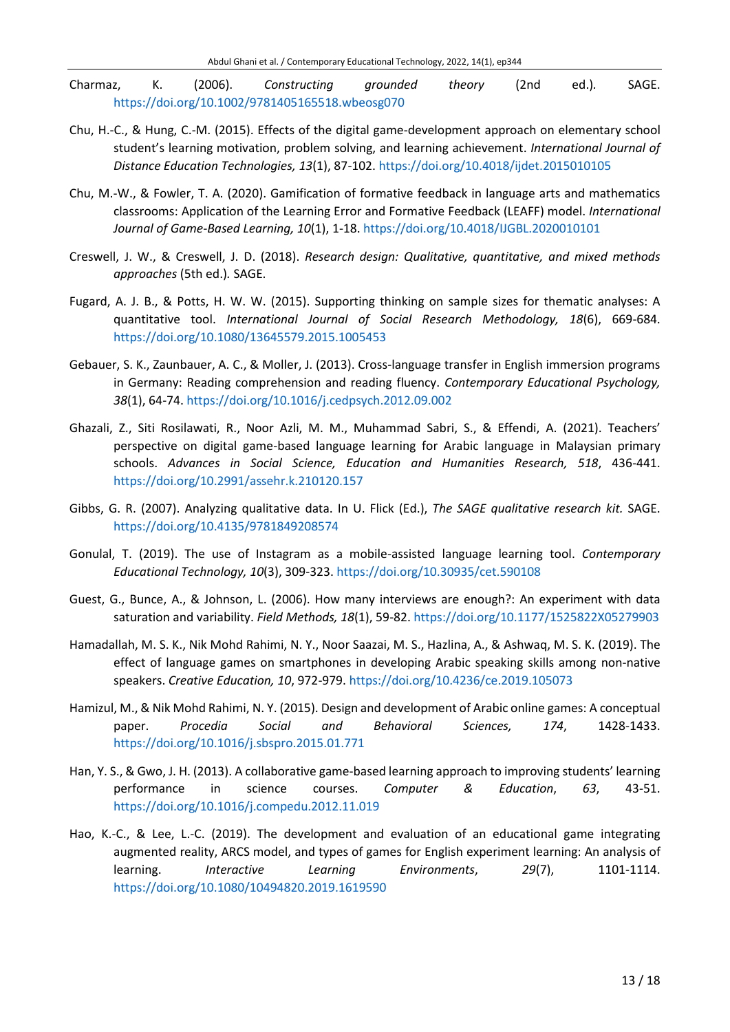- Charmaz, K. (2006). *Constructing grounded theory* (2nd ed.)*.* SAGE. <https://doi.org/10.1002/9781405165518.wbeosg070>
- Chu, H.-C., & Hung, C.-M. (2015). Effects of the digital game-development approach on elementary school student's learning motivation, problem solving, and learning achievement. *International Journal of Distance Education Technologies, 13*(1), 87-102. <https://doi.org/10.4018/ijdet.2015010105>
- Chu, M.-W., & Fowler, T. A. (2020). Gamification of formative feedback in language arts and mathematics classrooms: Application of the Learning Error and Formative Feedback (LEAFF) model. *International Journal of Game-Based Learning, 10*(1), 1-18. <https://doi.org/10.4018/IJGBL.2020010101>
- Creswell, J. W., & Creswell, J. D. (2018). *Research design: Qualitative, quantitative, and mixed methods approaches* (5th ed.)*.* SAGE.
- Fugard, A. J. B., & Potts, H. W. W. (2015). Supporting thinking on sample sizes for thematic analyses: A quantitative tool. *International Journal of Social Research Methodology, 18*(6), 669-684. <https://doi.org/10.1080/13645579.2015.1005453>
- Gebauer, S. K., Zaunbauer, A. C., & Moller, J. (2013). Cross-language transfer in English immersion programs in Germany: Reading comprehension and reading fluency. *Contemporary Educational Psychology, 38*(1), 64-74. <https://doi.org/10.1016/j.cedpsych.2012.09.002>
- Ghazali, Z., Siti Rosilawati, R., Noor Azli, M. M., Muhammad Sabri, S., & Effendi, A. (2021). Teachers' perspective on digital game-based language learning for Arabic language in Malaysian primary schools. *Advances in Social Science, Education and Humanities Research, 518*, 436-441. <https://doi.org/10.2991/assehr.k.210120.157>
- Gibbs, G. R. (2007). Analyzing qualitative data. In U. Flick (Ed.), *The SAGE qualitative research kit.* SAGE. <https://doi.org/10.4135/9781849208574>
- Gonulal, T. (2019). The use of Instagram as a mobile-assisted language learning tool. *Contemporary Educational Technology, 10*(3), 309-323. <https://doi.org/10.30935/cet.590108>
- Guest, G., Bunce, A., & Johnson, L. (2006). How many interviews are enough?: An experiment with data saturation and variability. *Field Methods, 18*(1), 59-82. <https://doi.org/10.1177/1525822X05279903>
- Hamadallah, M. S. K., Nik Mohd Rahimi, N. Y., Noor Saazai, M. S., Hazlina, A., & Ashwaq, M. S. K. (2019). The effect of language games on smartphones in developing Arabic speaking skills among non-native speakers. *Creative Education, 10*, 972-979. <https://doi.org/10.4236/ce.2019.105073>
- Hamizul, M., & Nik Mohd Rahimi, N. Y. (2015). Design and development of Arabic online games: A conceptual paper. *Procedia Social and Behavioral Sciences, 174*, 1428-1433. <https://doi.org/10.1016/j.sbspro.2015.01.771>
- Han, Y. S., & Gwo, J. H. (2013). A collaborative game-based learning approach to improving students' learning performance in science courses. *Computer & Education*, *63*, 43-51. <https://doi.org/10.1016/j.compedu.2012.11.019>
- Hao, K.-C., & Lee, L.-C. (2019). The development and evaluation of an educational game integrating augmented reality, ARCS model, and types of games for English experiment learning: An analysis of learning. *Interactive Learning Environments*, *29*(7), 1101-1114. <https://doi.org/10.1080/10494820.2019.1619590>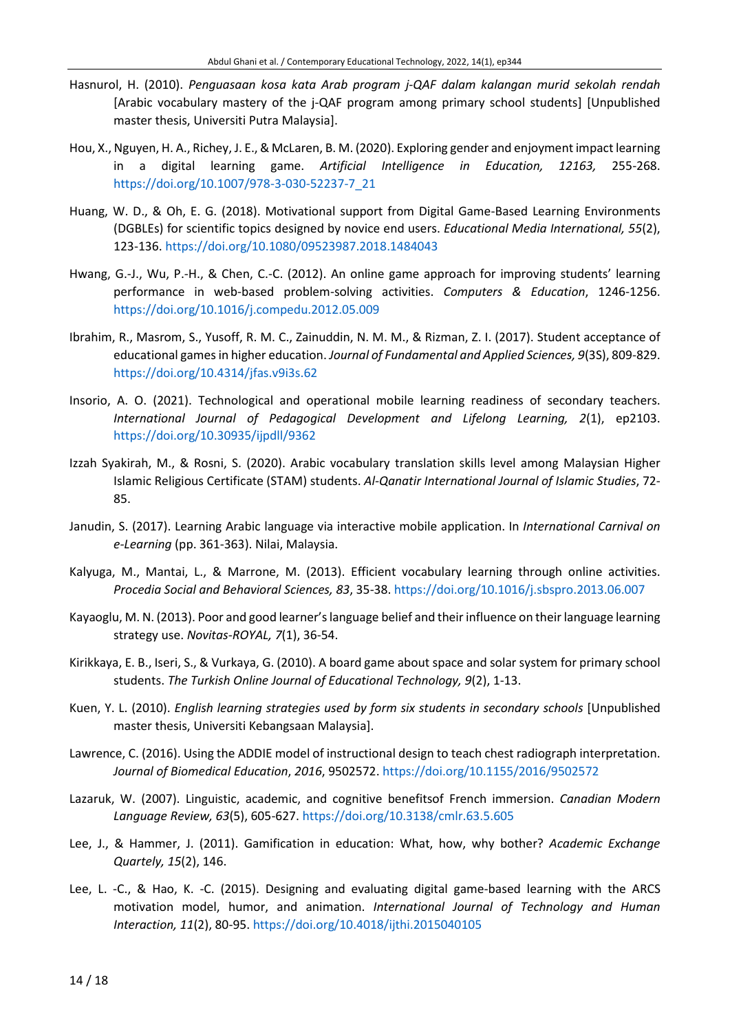- Hasnurol, H. (2010). *Penguasaan kosa kata Arab program j-QAF dalam kalangan murid sekolah rendah* [Arabic vocabulary mastery of the j-QAF program among primary school students] [Unpublished master thesis, Universiti Putra Malaysia].
- Hou, X., Nguyen, H. A., Richey, J. E.,& McLaren, B. M. (2020). Exploring gender and enjoyment impact learning in a digital learning game. *Artificial Intelligence in Education, 12163,* 255-268. [https://doi.org/10.1007/978-3-030-52237-7\\_21](https://doi.org/10.1007/978-3-030-52237-7_21)
- Huang, W. D., & Oh, E. G. (2018). Motivational support from Digital Game-Based Learning Environments (DGBLEs) for scientific topics designed by novice end users. *Educational Media International, 55*(2), 123-136. <https://doi.org/10.1080/09523987.2018.1484043>
- Hwang, G.-J., Wu, P.-H., & Chen, C.-C. (2012). An online game approach for improving students' learning performance in web-based problem-solving activities. *Computers & Education*, 1246-1256. <https://doi.org/10.1016/j.compedu.2012.05.009>
- Ibrahim, R., Masrom, S., Yusoff, R. M. C., Zainuddin, N. M. M., & Rizman, Z. I. (2017). Student acceptance of educational gamesin higher education. *Journal of Fundamental and Applied Sciences, 9*(3S), 809-829. <https://doi.org/10.4314/jfas.v9i3s.62>
- Insorio, A. O. (2021). Technological and operational mobile learning readiness of secondary teachers. *International Journal of Pedagogical Development and Lifelong Learning, 2*(1), ep2103. <https://doi.org/10.30935/ijpdll/9362>
- Izzah Syakirah, M., & Rosni, S. (2020). Arabic vocabulary translation skills level among Malaysian Higher Islamic Religious Certificate (STAM) students. *Al-Qanatir International Journal of Islamic Studies*, 72- 85.
- Janudin, S. (2017). Learning Arabic language via interactive mobile application. In *International Carnival on e-Learning* (pp. 361-363). Nilai, Malaysia.
- Kalyuga, M., Mantai, L., & Marrone, M. (2013). Efficient vocabulary learning through online activities. *Procedia Social and Behavioral Sciences, 83*, 35-38. <https://doi.org/10.1016/j.sbspro.2013.06.007>
- Kayaoglu, M. N. (2013). Poor and good learner's language belief and their influence on their language learning strategy use. *Novitas-ROYAL, 7*(1), 36-54.
- Kirikkaya, E. B., Iseri, S., & Vurkaya, G. (2010). A board game about space and solar system for primary school students. *The Turkish Online Journal of Educational Technology, 9*(2), 1-13.
- Kuen, Y. L. (2010). *English learning strategies used by form six students in secondary schools* [Unpublished master thesis, Universiti Kebangsaan Malaysia].
- Lawrence, C. (2016). Using the ADDIE model of instructional design to teach chest radiograph interpretation. *Journal of Biomedical Education*, *2016*, 9502572. <https://doi.org/10.1155/2016/9502572>
- Lazaruk, W. (2007). Linguistic, academic, and cognitive benefitsof French immersion. *Canadian Modern Language Review, 63*(5), 605-627. <https://doi.org/10.3138/cmlr.63.5.605>
- Lee, J., & Hammer, J. (2011). Gamification in education: What, how, why bother? *Academic Exchange Quartely, 15*(2), 146.
- Lee, L. -C., & Hao, K. -C. (2015). Designing and evaluating digital game-based learning with the ARCS motivation model, humor, and animation. *International Journal of Technology and Human Interaction, 11*(2), 80-95. <https://doi.org/10.4018/ijthi.2015040105>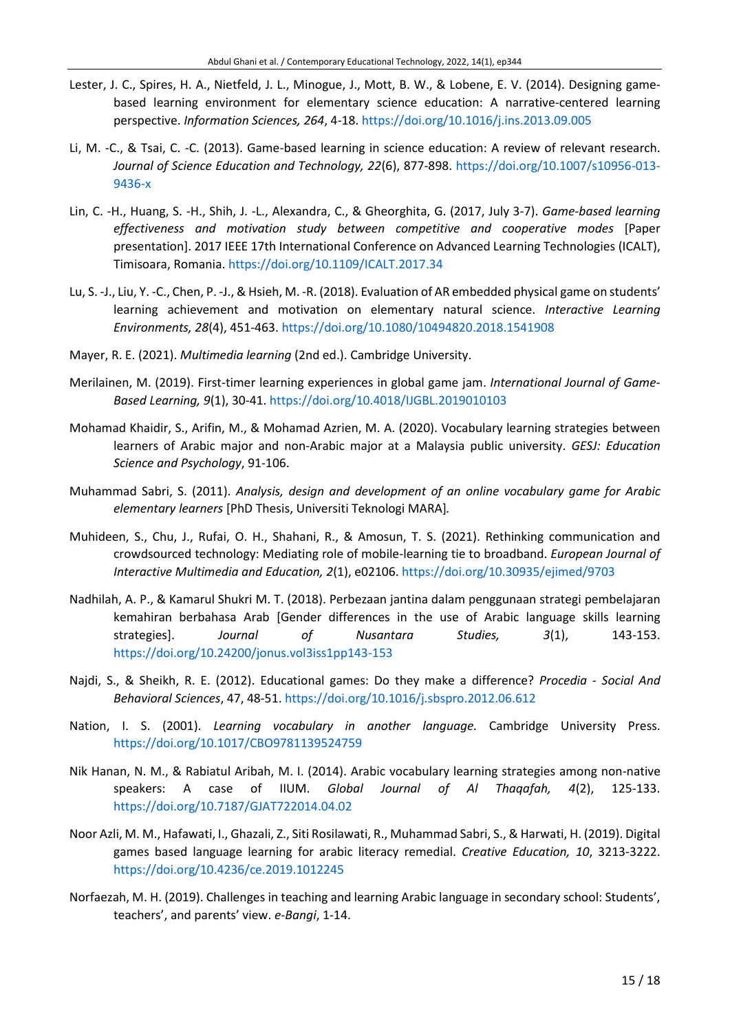- Lester, J. C., Spires, H. A., Nietfeld, J. L., Minogue, J., Mott, B. W., & Lobene, E. V. (2014). Designing gamebased learning environment for elementary science education: A narrative-centered learning perspective. *Information Sciences, 264*, 4-18. <https://doi.org/10.1016/j.ins.2013.09.005>
- Li, M. -C., & Tsai, C. -C. (2013). Game-based learning in science education: A review of relevant research. *Journal of Science Education and Technology, 22*(6), 877-898. [https://doi.org/10.1007/s10956-013-](https://doi.org/10.1007/s10956-013-9436-x) [9436-x](https://doi.org/10.1007/s10956-013-9436-x)
- Lin, C. -H., Huang, S. -H., Shih, J. -L., Alexandra, C., & Gheorghita, G. (2017, July 3-7). *Game-based learning effectiveness and motivation study between competitive and cooperative modes* [Paper presentation]. 2017 IEEE 17th International Conference on Advanced Learning Technologies (ICALT), Timisoara, Romania. <https://doi.org/10.1109/ICALT.2017.34>
- Lu, S. -J., Liu, Y. -C., Chen, P. -J., & Hsieh, M. -R. (2018). Evaluation of AR embedded physical game on students' learning achievement and motivation on elementary natural science. *Interactive Learning Environments, 28*(4), 451-463. <https://doi.org/10.1080/10494820.2018.1541908>
- Mayer, R. E. (2021). *Multimedia learning* (2nd ed.). Cambridge University.
- Merilainen, M. (2019). First-timer learning experiences in global game jam. *International Journal of Game-Based Learning, 9*(1), 30-41. <https://doi.org/10.4018/IJGBL.2019010103>
- Mohamad Khaidir, S., Arifin, M., & Mohamad Azrien, M. A. (2020). Vocabulary learning strategies between learners of Arabic major and non-Arabic major at a Malaysia public university. *GESJ: Education Science and Psychology*, 91-106.
- Muhammad Sabri, S. (2011). *Analysis, design and development of an online vocabulary game for Arabic elementary learners* [PhD Thesis, Universiti Teknologi MARA]*.*
- Muhideen, S., Chu, J., Rufai, O. H., Shahani, R., & Amosun, T. S. (2021). Rethinking communication and crowdsourced technology: Mediating role of mobile-learning tie to broadband. *European Journal of Interactive Multimedia and Education, 2*(1), e02106. <https://doi.org/10.30935/ejimed/9703>
- Nadhilah, A. P., & Kamarul Shukri M. T. (2018). Perbezaan jantina dalam penggunaan strategi pembelajaran kemahiran berbahasa Arab [Gender differences in the use of Arabic language skills learning strategies]. *Journal of Nusantara Studies, 3*(1), 143-153. <https://doi.org/10.24200/jonus.vol3iss1pp143-153>
- Najdi, S., & Sheikh, R. E. (2012). Educational games: Do they make a difference? *Procedia - Social And Behavioral Sciences*, 47, 48-51. <https://doi.org/10.1016/j.sbspro.2012.06.612>
- Nation, I. S. (2001). *Learning vocabulary in another language.* Cambridge University Press. <https://doi.org/10.1017/CBO9781139524759>
- Nik Hanan, N. M., & Rabiatul Aribah, M. I. (2014). Arabic vocabulary learning strategies among non-native speakers: A case of IIUM. *Global Journal of Al Thaqafah, 4*(2), 125-133. <https://doi.org/10.7187/GJAT722014.04.02>
- Noor Azli, M. M., Hafawati, I., Ghazali, Z., Siti Rosilawati, R., Muhammad Sabri, S., & Harwati, H. (2019). Digital games based language learning for arabic literacy remedial. *Creative Education, 10*, 3213-3222. <https://doi.org/10.4236/ce.2019.1012245>
- Norfaezah, M. H. (2019). Challenges in teaching and learning Arabic language in secondary school: Students', teachers', and parents' view. *e-Bangi*, 1-14.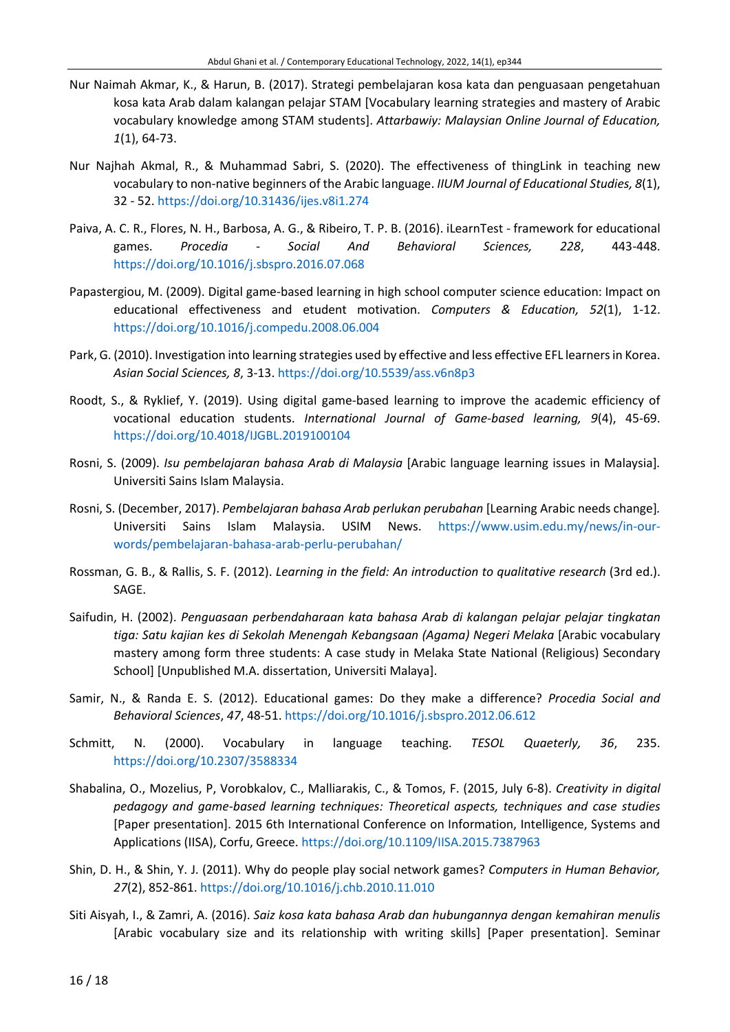- Nur Naimah Akmar, K., & Harun, B. (2017). Strategi pembelajaran kosa kata dan penguasaan pengetahuan kosa kata Arab dalam kalangan pelajar STAM [Vocabulary learning strategies and mastery of Arabic vocabulary knowledge among STAM students]. *Attarbawiy: Malaysian Online Journal of Education, 1*(1), 64-73.
- Nur Najhah Akmal, R., & Muhammad Sabri, S. (2020). The effectiveness of thingLink in teaching new vocabulary to non-native beginners of the Arabic language. *IIUM Journal of Educational Studies, 8*(1), 32 - 52. <https://doi.org/10.31436/ijes.v8i1.274>
- Paiva, A. C. R., Flores, N. H., Barbosa, A. G., & Ribeiro, T. P. B. (2016). iLearnTest framework for educational games. *Procedia - Social And Behavioral Sciences, 228*, 443-448. <https://doi.org/10.1016/j.sbspro.2016.07.068>
- Papastergiou, M. (2009). Digital game-based learning in high school computer science education: Impact on educational effectiveness and etudent motivation. *Computers & Education, 52*(1), 1-12. <https://doi.org/10.1016/j.compedu.2008.06.004>
- Park, G. (2010). Investigation into learning strategies used by effective and less effective EFL learners in Korea. *Asian Social Sciences, 8*, 3-13. <https://doi.org/10.5539/ass.v6n8p3>
- Roodt, S., & Ryklief, Y. (2019). Using digital game-based learning to improve the academic efficiency of vocational education students. *International Journal of Game-based learning, 9*(4), 45-69. <https://doi.org/10.4018/IJGBL.2019100104>
- Rosni, S. (2009). *Isu pembelajaran bahasa Arab di Malaysia* [Arabic language learning issues in Malaysia]*.* Universiti Sains Islam Malaysia.
- Rosni, S. (December, 2017). *Pembelajaran bahasa Arab perlukan perubahan* [Learning Arabic needs change]*.* Universiti Sains Islam Malaysia. USIM News. [https://www.usim.edu.my/news/in-our](https://www.usim.edu.my/news/in-our-words/pembelajaran-bahasa-arab-perlu-perubahan/)[words/pembelajaran-bahasa-arab-perlu-perubahan/](https://www.usim.edu.my/news/in-our-words/pembelajaran-bahasa-arab-perlu-perubahan/)
- Rossman, G. B., & Rallis, S. F. (2012). *Learning in the field: An introduction to qualitative research* (3rd ed.). SAGE.
- Saifudin, H. (2002). *Penguasaan perbendaharaan kata bahasa Arab di kalangan pelajar pelajar tingkatan tiga: Satu kajian kes di Sekolah Menengah Kebangsaan (Agama) Negeri Melaka* [Arabic vocabulary mastery among form three students: A case study in Melaka State National (Religious) Secondary School] [Unpublished M.A. dissertation, Universiti Malaya].
- Samir, N., & Randa E. S. (2012). Educational games: Do they make a difference? *Procedia Social and Behavioral Sciences*, *47*, 48-51. <https://doi.org/10.1016/j.sbspro.2012.06.612>
- Schmitt, N. (2000). Vocabulary in language teaching. *TESOL Quaeterly, 36*, 235. <https://doi.org/10.2307/3588334>
- Shabalina, O., Mozelius, P, Vorobkalov, C., Malliarakis, C., & Tomos, F. (2015, July 6-8). *Creativity in digital pedagogy and game-based learning techniques: Theoretical aspects, techniques and case studies* [Paper presentation]. 2015 6th International Conference on Information, Intelligence, Systems and Applications (IISA), Corfu, Greece. <https://doi.org/10.1109/IISA.2015.7387963>
- Shin, D. H., & Shin, Y. J. (2011). Why do people play social network games? *Computers in Human Behavior, 27*(2), 852-861. <https://doi.org/10.1016/j.chb.2010.11.010>
- Siti Aisyah, I., & Zamri, A. (2016). *Saiz kosa kata bahasa Arab dan hubungannya dengan kemahiran menulis* [Arabic vocabulary size and its relationship with writing skills] [Paper presentation]. Seminar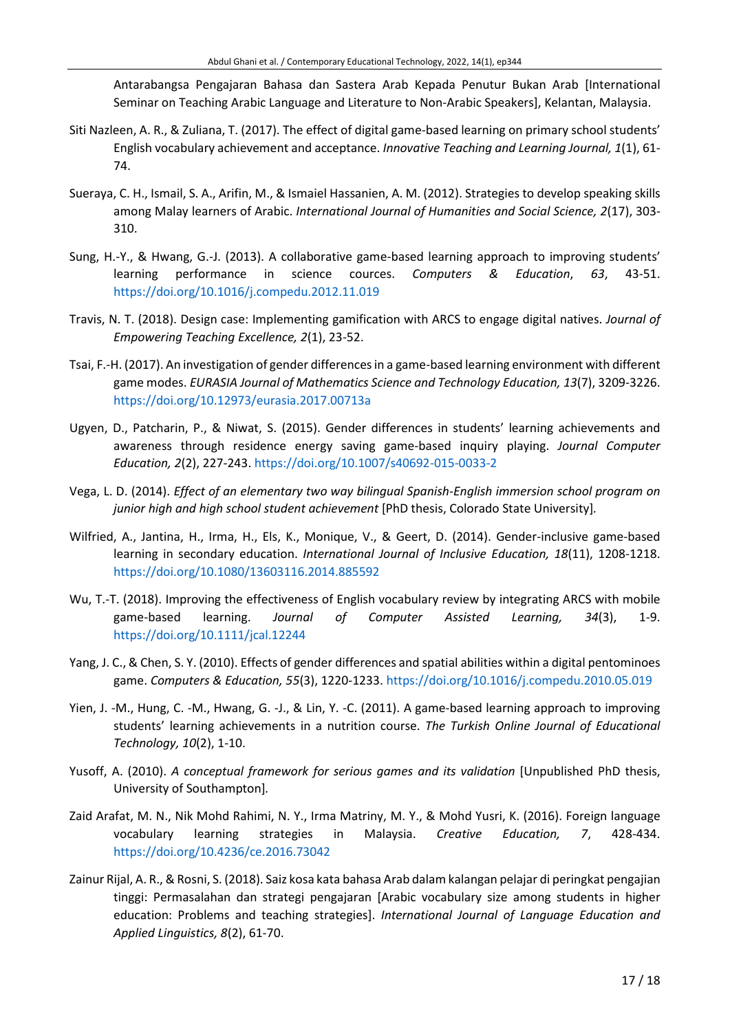Antarabangsa Pengajaran Bahasa dan Sastera Arab Kepada Penutur Bukan Arab [International Seminar on Teaching Arabic Language and Literature to Non-Arabic Speakers], Kelantan, Malaysia.

- Siti Nazleen, A. R., & Zuliana, T. (2017). The effect of digital game-based learning on primary school students' English vocabulary achievement and acceptance. *Innovative Teaching and Learning Journal, 1*(1), 61- 74.
- Sueraya, C. H., Ismail, S. A., Arifin, M., & Ismaiel Hassanien, A. M. (2012). Strategies to develop speaking skills among Malay learners of Arabic. *International Journal of Humanities and Social Science, 2*(17), 303- 310.
- Sung, H.-Y., & Hwang, G.-J. (2013). A collaborative game-based learning approach to improving students' learning performance in science cources. *Computers & Education*, *63*, 43-51. <https://doi.org/10.1016/j.compedu.2012.11.019>
- Travis, N. T. (2018). Design case: Implementing gamification with ARCS to engage digital natives. *Journal of Empowering Teaching Excellence, 2*(1), 23-52.
- Tsai, F.-H. (2017). An investigation of gender differencesin a game-based learning environment with different game modes. *EURASIA Journal of Mathematics Science and Technology Education, 13*(7), 3209-3226. <https://doi.org/10.12973/eurasia.2017.00713a>
- Ugyen, D., Patcharin, P., & Niwat, S. (2015). Gender differences in students' learning achievements and awareness through residence energy saving game-based inquiry playing. *Journal Computer Education, 2*(2), 227-243. <https://doi.org/10.1007/s40692-015-0033-2>
- Vega, L. D. (2014). *Effect of an elementary two way bilingual Spanish-English immersion school program on junior high and high school student achievement* [PhD thesis, Colorado State University]*.*
- Wilfried, A., Jantina, H., Irma, H., Els, K., Monique, V., & Geert, D. (2014). Gender-inclusive game-based learning in secondary education. *International Journal of Inclusive Education, 18*(11), 1208-1218. <https://doi.org/10.1080/13603116.2014.885592>
- Wu, T.-T. (2018). Improving the effectiveness of English vocabulary review by integrating ARCS with mobile game-based learning. *Journal of Computer Assisted Learning, 34*(3), 1-9. <https://doi.org/10.1111/jcal.12244>
- Yang, J. C., & Chen, S. Y. (2010). Effects of gender differences and spatial abilities within a digital pentominoes game. *Computers & Education, 55*(3), 1220-1233. <https://doi.org/10.1016/j.compedu.2010.05.019>
- Yien, J. -M., Hung, C. -M., Hwang, G. -J., & Lin, Y. -C. (2011). A game-based learning approach to improving students' learning achievements in a nutrition course. *The Turkish Online Journal of Educational Technology, 10*(2), 1-10.
- Yusoff, A. (2010). *A conceptual framework for serious games and its validation* [Unpublished PhD thesis, University of Southampton]*.*
- Zaid Arafat, M. N., Nik Mohd Rahimi, N. Y., Irma Matriny, M. Y., & Mohd Yusri, K. (2016). Foreign language vocabulary learning strategies in Malaysia. *Creative Education, 7*, 428-434. <https://doi.org/10.4236/ce.2016.73042>
- Zainur Rijal, A. R., & Rosni, S. (2018). Saiz kosa kata bahasa Arab dalam kalangan pelajar di peringkat pengajian tinggi: Permasalahan dan strategi pengajaran [Arabic vocabulary size among students in higher education: Problems and teaching strategies]. *International Journal of Language Education and Applied Linguistics, 8*(2), 61-70.